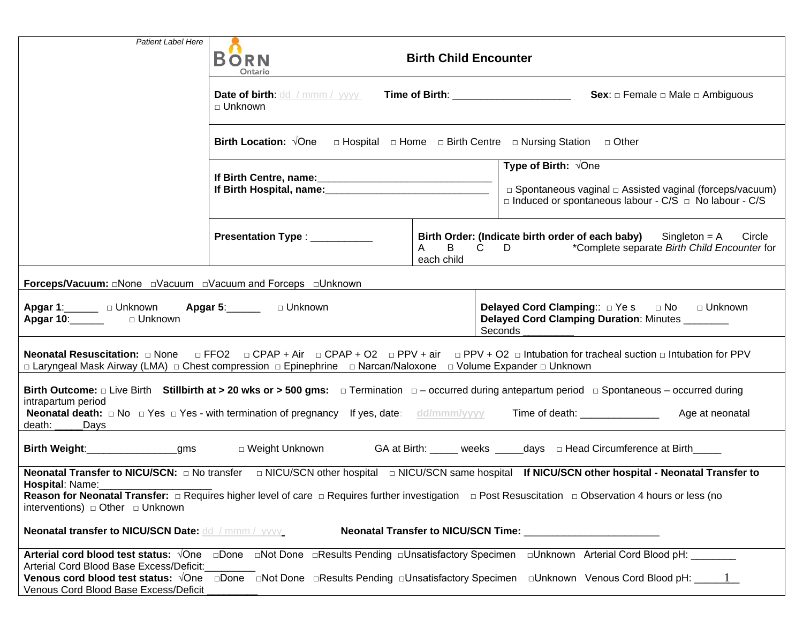| <b>Patient Label Here</b>                                                                                                                                                                                                                                                                                                                                                                          |                                                                                                                          |                                            |                                                                                                                                                                                   |  |
|----------------------------------------------------------------------------------------------------------------------------------------------------------------------------------------------------------------------------------------------------------------------------------------------------------------------------------------------------------------------------------------------------|--------------------------------------------------------------------------------------------------------------------------|--------------------------------------------|-----------------------------------------------------------------------------------------------------------------------------------------------------------------------------------|--|
|                                                                                                                                                                                                                                                                                                                                                                                                    | <b>BORN</b><br><b>Birth Child Encounter</b><br>Ontario                                                                   |                                            |                                                                                                                                                                                   |  |
|                                                                                                                                                                                                                                                                                                                                                                                                    | <b>Date of birth:</b> dd / mmm / yyyy<br><b>Time of Birth:</b> Time of Birth:<br>$\sqcap$ Unknown                        |                                            | <b>Sex:</b> $\Box$ Female $\Box$ Male $\Box$ Ambiguous                                                                                                                            |  |
|                                                                                                                                                                                                                                                                                                                                                                                                    | <b>Birth Location:</b> $\sqrt{O}$ ne $\Box$ Hospital $\Box$ Home $\Box$ Birth Centre $\Box$ Nursing Station $\Box$ Other |                                            |                                                                                                                                                                                   |  |
|                                                                                                                                                                                                                                                                                                                                                                                                    |                                                                                                                          |                                            | <b>Type of Birth:</b> $\sqrt{O}$ ne<br>□ Spontaneous vaginal □ Assisted vaginal (forceps/vacuum)<br>$\Box$ Induced or spontaneous labour - C/S $\Box$ No labour - C/S             |  |
|                                                                                                                                                                                                                                                                                                                                                                                                    | Presentation Type : ___________                                                                                          | $\mathsf{B}$<br>$\mathsf{A}$<br>each child | Birth Order: (Indicate birth order of each baby)<br>$Singleton = A$ Circle<br>$C$ D D<br>*Complete separate Birth Child Encounter for                                             |  |
|                                                                                                                                                                                                                                                                                                                                                                                                    |                                                                                                                          |                                            |                                                                                                                                                                                   |  |
| Apgar 1: Unknown Apgar 5: Junknown<br>Apgar 10: Unknown                                                                                                                                                                                                                                                                                                                                            |                                                                                                                          |                                            | Delayed Cord Clamping:: DYes DNo DUnknown<br>Delayed Cord Clamping Duration: Minutes<br>Seconds                                                                                   |  |
| Neonatal Resuscitation: $\Box$ None $\Box$ FFO2 $\Box$ CPAP + Air $\Box$ CPAP + O2 $\Box$ PPV + air $\Box$ PPV + O2 $\Box$ Intubation for tracheal suction $\Box$ Intubation for PPV<br>□ Laryngeal Mask Airway (LMA) □ Chest compression □ Epinephrine □ Narcan/Naloxone □ Volume Expander □ Unknown                                                                                              |                                                                                                                          |                                            |                                                                                                                                                                                   |  |
| Birth Outcome: $\Box$ Live Birth Stillbirth at > 20 wks or > 500 gms: $\Box$ Termination $\Box$ - occurred during antepartum period $\Box$ Spontaneous – occurred during<br>intrapartum period<br><b>Neonatal death:</b> $\Box$ No $\Box$ Yes $\Box$ Yes - with termination of pregnancy If yes, date: dd/mmm/yyyy<br>Time of death: <u>_________________</u><br>Age at neonatal<br>death:<br>Days |                                                                                                                          |                                            |                                                                                                                                                                                   |  |
| Birth Weight:___________________gms<br>□ Weight Unknown<br>GA at Birth: _____ weeks ______days _ Head Circumference at Birth_____                                                                                                                                                                                                                                                                  |                                                                                                                          |                                            |                                                                                                                                                                                   |  |
| Hospital: Name:<br><b>Neonatal transfer to NICU/SCN Date: dd / mmm / yyyy</b>                                                                                                                                                                                                                                                                                                                      |                                                                                                                          |                                            |                                                                                                                                                                                   |  |
| Arterial Cord Blood Base Excess/Deficit:<br>Venous Cord Blood Base Excess/Deficit                                                                                                                                                                                                                                                                                                                  |                                                                                                                          |                                            | <b>Venous cord blood test status:</b> $\sqrt{O}$ ne $\Box$ Done $\Box$ Not Done $\Box$ Results Pending $\Box$ Unsatisfactory Specimen $\Box$ Unknown Venous Cord Blood pH: $\Box$ |  |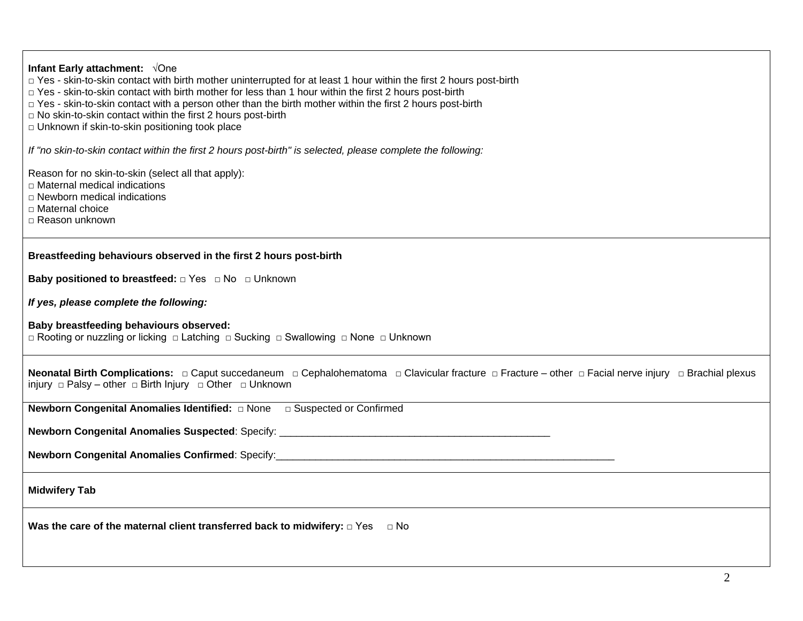| Infant Early attachment: $\sqrt{O}$ ne<br>□ Yes - skin-to-skin contact with birth mother uninterrupted for at least 1 hour within the first 2 hours post-birth<br>$\Box$ Yes - skin-to-skin contact with birth mother for less than 1 hour within the first 2 hours post-birth |  |  |  |
|--------------------------------------------------------------------------------------------------------------------------------------------------------------------------------------------------------------------------------------------------------------------------------|--|--|--|
| □ Yes - skin-to-skin contact with a person other than the birth mother within the first 2 hours post-birth<br>□ No skin-to-skin contact within the first 2 hours post-birth<br>D Unknown if skin-to-skin positioning took place                                                |  |  |  |
| If "no skin-to-skin contact within the first 2 hours post-birth" is selected, please complete the following:                                                                                                                                                                   |  |  |  |
| Reason for no skin-to-skin (select all that apply):<br>$\Box$ Maternal medical indications<br>$\Box$ Newborn medical indications                                                                                                                                               |  |  |  |
| □ Maternal choice<br>□ Reason unknown                                                                                                                                                                                                                                          |  |  |  |
| Breastfeeding behaviours observed in the first 2 hours post-birth                                                                                                                                                                                                              |  |  |  |
| <b>Baby positioned to breastfeed:</b> □ Yes □ No □ Unknown                                                                                                                                                                                                                     |  |  |  |
| If yes, please complete the following:                                                                                                                                                                                                                                         |  |  |  |
| Baby breastfeeding behaviours observed:<br>$\Box$ Rooting or nuzzling or licking $\Box$ Latching $\Box$ Sucking $\Box$ Swallowing $\Box$ None $\Box$ Unknown                                                                                                                   |  |  |  |
| injury $\Box$ Palsy – other $\Box$ Birth Injury $\Box$ Other $\Box$ Unknown                                                                                                                                                                                                    |  |  |  |
|                                                                                                                                                                                                                                                                                |  |  |  |
|                                                                                                                                                                                                                                                                                |  |  |  |
| Newborn Congenital Anomalies Confirmed: Specify:<br>Newborn Congenital Anomalies Confirmed: Specify:<br>2008.                                                                                                                                                                  |  |  |  |
| <b>Midwifery Tab</b>                                                                                                                                                                                                                                                           |  |  |  |
| Was the care of the maternal client transferred back to midwifery: $\Box$ Yes<br>⊟ No                                                                                                                                                                                          |  |  |  |
|                                                                                                                                                                                                                                                                                |  |  |  |